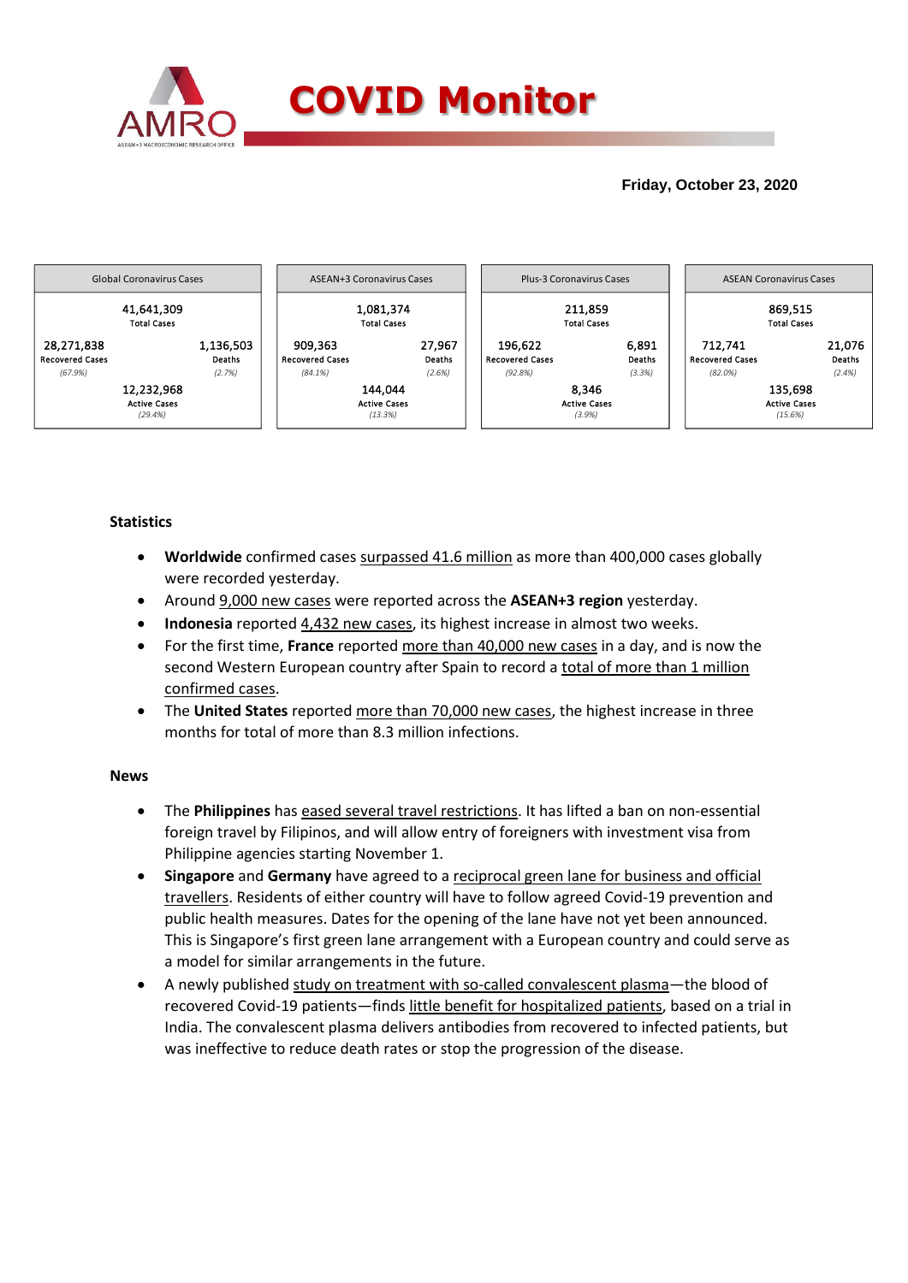

# **Friday, October 23, 2020**



# **Statistics**

- **Worldwide** confirmed cases surpassed 41.6 million as more than 400,000 cases globally were recorded yesterday.
- Around 9,000 new cases were reported across the **ASEAN+3 region** yesterday.
- **Indonesia** reported 4,432 new cases, its highest increase in almost two weeks.
- For the first time, **France** reported more than 40,000 new cases in a day, and is now the second Western European country after Spain to record a total of more than 1 million confirmed cases.
- The **United States** reported more than 70,000 new cases, the highest increase in three months for total of more than 8.3 million infections.

### **News**

- The **Philippines** has eased several travel restrictions. It has lifted a ban on non-essential foreign travel by Filipinos, and will allow entry of foreigners with investment visa from Philippine agencies starting November 1.
- **Singapore** and **Germany** have agreed to a reciprocal green lane for business and official travellers. Residents of either country will have to follow agreed Covid-19 prevention and public health measures. Dates for the opening of the lane have not yet been announced. This is Singapore's first green lane arrangement with a European country and could serve as a model for similar arrangements in the future.
- A newly published study on treatment with so-called convalescent plasma—the blood of recovered Covid-19 patients—finds little benefit for hospitalized patients, based on a trial in India. The convalescent plasma delivers antibodies from recovered to infected patients, but was ineffective to reduce death rates or stop the progression of the disease.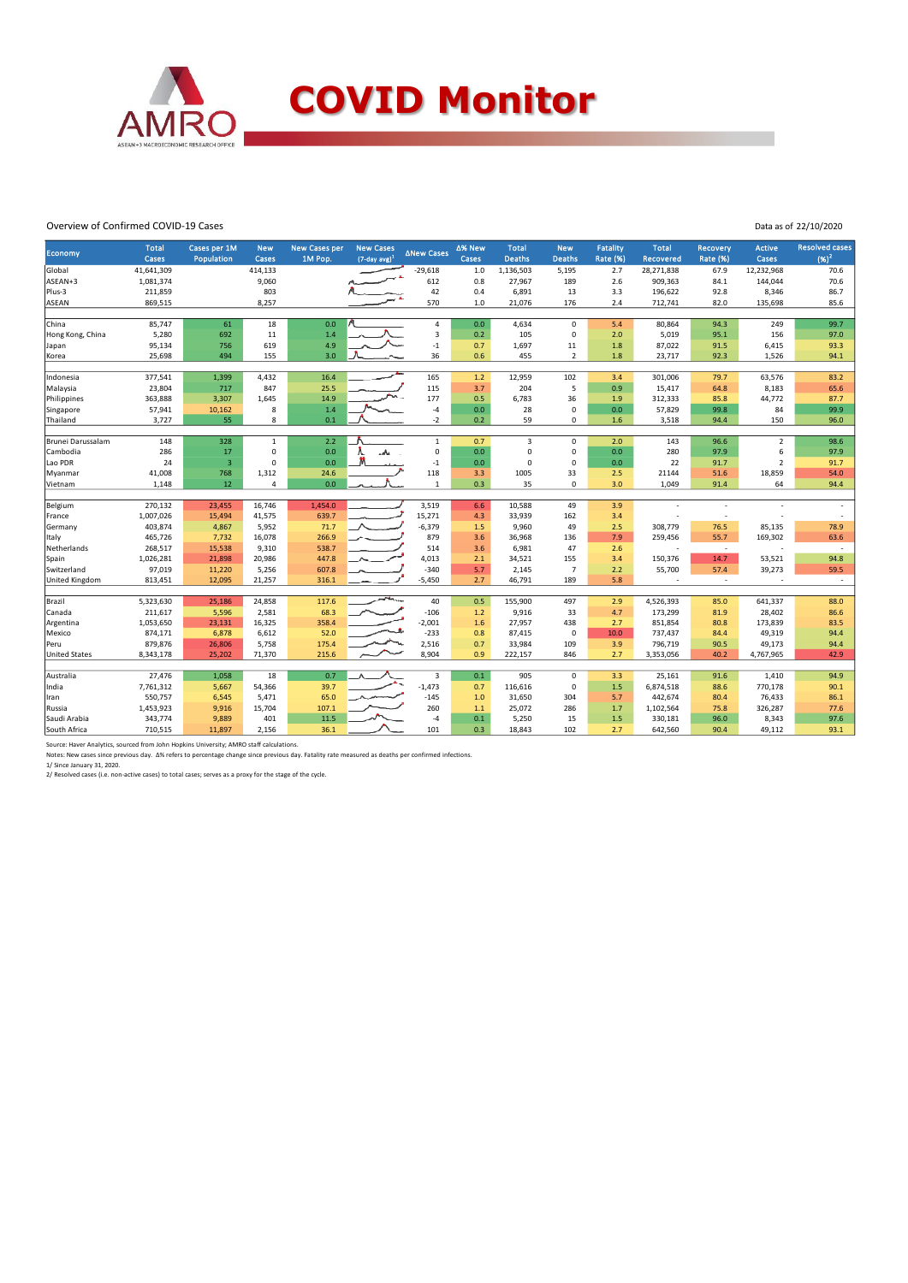

#### Overview of Confirmed COVID-19 Cases

| Data as of 22/10/2020 |  |
|-----------------------|--|
|                       |  |

|                      |                       |                            |                     |                                 |                                         |                    |                 |                               |                             |                                    |                           |                             |                   | <b>Resolved cases</b> |
|----------------------|-----------------------|----------------------------|---------------------|---------------------------------|-----------------------------------------|--------------------|-----------------|-------------------------------|-----------------------------|------------------------------------|---------------------------|-----------------------------|-------------------|-----------------------|
| Economy              | <b>Total</b><br>Cases | Cases per 1M<br>Population | <b>New</b><br>Cases | <b>New Cases per</b><br>1M Pop. | <b>New Cases</b><br>$(7$ -day avg $)^1$ | <b>ANew Cases</b>  | ∆% New<br>Cases | <b>Total</b><br><b>Deaths</b> | <b>New</b><br><b>Deaths</b> | <b>Fatality</b><br><b>Rate (%)</b> | <b>Total</b><br>Recovered | Recovery<br><b>Rate (%)</b> | Active<br>Cases   | $(96)^2$              |
| Global               | 41,641,309            |                            | 414,133             |                                 |                                         | $-29,618$          | 1.0             | 1,136,503                     | 5,195                       | 2.7                                | 28,271,838                | 67.9                        | 12,232,968        | 70.6                  |
| ASEAN+3              | 1,081,374             |                            | 9,060               |                                 |                                         | 612                | 0.8             | 27,967                        | 189                         | 2.6                                | 909,363                   | 84.1                        | 144,044           | 70.6                  |
| Plus-3               | 211,859               |                            | 803                 |                                 |                                         | 42                 | 0.4             | 6,891                         | 13                          | 3.3                                | 196,622                   | 92.8                        | 8,346             | 86.7                  |
| ASEAN                | 869,515               |                            | 8,257               |                                 |                                         | 570                | 1.0             | 21,076                        | 176                         | 2.4                                | 712,741                   | 82.0                        | 135,698           | 85.6                  |
|                      |                       |                            |                     |                                 |                                         |                    |                 |                               |                             |                                    |                           |                             |                   |                       |
| China                | 85,747                | 61                         | 18                  | 0.0                             |                                         | $\pmb{4}$          | 0.0             | 4,634                         | $\Omega$                    | 5.4                                | 80,864                    | 94.3                        | 249               | 99.7                  |
| Hong Kong, China     | 5,280                 | 692                        | 11                  | 1.4                             |                                         | $\overline{3}$     | 0.2             | 105                           | $\mathbf 0$                 | 2.0                                | 5,019                     | 95.1                        | 156               | 97.0                  |
| Japan                | 95,134                | 756                        | 619                 | 4.9                             |                                         | $^{\rm -1}$        | 0.7             | 1,697                         | 11                          | 1.8                                | 87,022                    | 91.5                        | 6,415             | 93.3                  |
| Korea                | 25,698                | 494                        | 155                 | 3.0                             |                                         | 36                 | 0.6             | 455                           | $\overline{2}$              | 1.8                                | 23,717                    | 92.3                        | 1,526             | 94.1                  |
|                      |                       |                            |                     |                                 |                                         |                    |                 |                               |                             |                                    |                           |                             |                   |                       |
| Indonesia            | 377,541               | 1,399                      | 4,432               | 16.4                            |                                         | 165                | 1.2             | 12,959                        | 102                         | 3.4                                | 301,006                   | 79.7                        | 63,576            | 83.2                  |
| Malaysia             | 23,804                | 717                        | 847                 | 25.5                            |                                         | 115                | 3.7             | 204                           | 5                           | 0.9                                | 15,417                    | 64.8                        | 8,183             | 65.6                  |
| Philippines          | 363,888               | 3,307                      | 1,645               | 14.9                            |                                         | 177                | 0.5             | 6,783                         | 36                          | 1.9                                | 312,333                   | 85.8                        | 44,772            | 87.7                  |
| Singapore            | 57,941                | 10,162                     | 8                   | 1.4                             |                                         | $-4$               | 0.0             | 28                            | 0                           | 0.0                                | 57,829                    | 99.8                        | 84                | 99.9                  |
| Thailand             | 3,727                 | 55                         | 8                   | 0.1                             |                                         | $-2$               | 0.2             | 59                            | 0                           | 1.6                                | 3,518                     | 94.4                        | 150               | 96.0                  |
|                      |                       |                            |                     |                                 |                                         |                    |                 |                               |                             |                                    |                           |                             |                   |                       |
| Brunei Darussalam    | 148                   | 328                        | $\mathbf{1}$        | 2.2                             |                                         | $\mathbf{1}$       | 0.7             | 3                             | 0                           | 2.0                                | 143                       | 96.6                        | $\overline{2}$    | 98.6                  |
| Cambodia             | 286                   | 17                         | $\mathbf 0$         | 0.0                             |                                         | $\mathbf 0$        | 0.0             | $\mathbf 0$                   | 0                           | 0.0                                | 280                       | 97.9                        | 6                 | 97.9                  |
| Lao PDR              | 24                    | $\overline{\mathbf{3}}$    | $\mathbf 0$         | 0.0                             |                                         | $-1$               | 0.0             | $\Omega$                      | $\Omega$                    | 0.0                                | 22                        | 91.7                        | $\overline{2}$    | 91.7                  |
| Myanmar              | 41,008                | 768                        | 1,312               | 24.6                            |                                         | 118                | 3.3             | 1005                          | 33                          | 2.5                                | 21144                     | 51.6                        | 18,859            | 54.0                  |
| Vietnam              | 1,148                 | 12                         | $\overline{a}$      | 0.0                             |                                         | 1                  | 0.3             | 35                            | 0                           | 3.0                                | 1,049                     | 91.4                        | 64                | 94.4                  |
|                      | 270,132               |                            |                     | 1,454.0                         |                                         | 3,519              | 6.6             | 10,588                        | 49                          | 3.9                                |                           | ÷,                          |                   | ÷,                    |
| Belgium              |                       | 23,455                     | 16,746              | 639.7                           |                                         |                    |                 |                               | 162                         | 3.4                                |                           | ÷,                          |                   |                       |
| France               | 1,007,026<br>403,874  | 15,494                     | 41,575<br>5,952     | 71.7                            |                                         | 15,271<br>$-6,379$ | 4.3<br>1.5      | 33,939<br>9,960               | 49                          | 2.5                                |                           | 76.5                        |                   | 78.9                  |
| Germany<br>Italy     | 465,726               | 4,867<br>7,732             | 16,078              | 266.9                           |                                         | 879                | 3.6             | 36,968                        | 136                         | 7.9                                | 308,779<br>259,456        | 55.7                        | 85,135<br>169,302 | 63.6                  |
|                      |                       |                            |                     |                                 |                                         | 514                |                 |                               | 47                          |                                    | ÷                         | $\sim$                      |                   |                       |
| Netherlands          | 268,517<br>1,026,281  | 15,538<br>21,898           | 9,310<br>20,986     | 538.7<br>447.8                  |                                         | 4,013              | 3.6<br>2.1      | 6,981<br>34,521               | 155                         | 2.6<br>3.4                         | 150,376                   | 14.7                        | 53,521            | $\sim$<br>94.8        |
| Spain<br>Switzerland | 97,019                |                            | 5,256               | 607.8                           |                                         | $-340$             | 5.7             | 2,145                         | $\overline{7}$              | 2.2                                | 55,700                    | 57.4                        | 39,273            | 59.5                  |
|                      | 813,451               | 11,220<br>12,095           | 21,257              |                                 |                                         | $-5,450$           | 2.7             | 46,791                        | 189                         | 5.8                                | ÷.                        | $\sim$                      |                   | $\sim$                |
| United Kingdom       |                       |                            |                     | 316.1                           |                                         |                    |                 |                               |                             |                                    |                           |                             |                   |                       |
| Brazil               | 5,323,630             | 25,186                     | 24,858              | 117.6                           |                                         | 40                 | 0.5             | 155,900                       | 497                         | 2.9                                | 4,526,393                 | 85.0                        | 641,337           | 88.0                  |
| Canada               | 211,617               | 5,596                      | 2,581               | 68.3                            |                                         | $-106$             | 1.2             | 9,916                         | 33                          | 4.7                                | 173,299                   | 81.9                        | 28,402            | 86.6                  |
| Argentina            | 1,053,650             | 23,131                     | 16,325              | 358.4                           |                                         | $-2,001$           | 1.6             | 27,957                        | 438                         | 2.7                                | 851,854                   | 80.8                        | 173,839           | 83.5                  |
| Mexico               | 874,171               | 6,878                      | 6,612               | 52.0                            |                                         | $-233$             | 0.8             | 87,415                        | 0                           | 10.0 <sub>1</sub>                  | 737,437                   | 84.4                        | 49,319            | 94.4                  |
| Peru                 | 879,876               | 26,806                     | 5,758               | 175.4                           |                                         | 2,516              | 0.7             | 33,984                        | 109                         | 3.9                                | 796,719                   | 90.5                        | 49,173            | 94.4                  |
| <b>United States</b> | 8,343,178             | 25,202                     | 71,370              | 215.6                           |                                         | 8,904              | 0.9             | 222,157                       | 846                         | 2.7                                | 3,353,056                 | 40.2                        | 4,767,965         | 42.9                  |
|                      |                       |                            |                     |                                 |                                         |                    |                 |                               |                             |                                    |                           |                             |                   |                       |
| Australia            | 27,476                | 1,058                      | 18                  | 0.7                             |                                         | $\overline{3}$     | 0.1             | 905                           | $\mathbf 0$                 | 3.3                                | 25,161                    | 91.6                        | 1,410             | 94.9                  |
| India                | 7,761,312             | 5,667                      | 54,366              | 39.7                            |                                         | $-1,473$           | 0.7             | 116,616                       | 0                           | 1.5                                | 6,874,518                 | 88.6                        | 770,178           | 90.1                  |
| Iran                 | 550,757               | 6,545                      | 5,471               | 65.0                            |                                         | $-145$             | 1.0             | 31,650                        | 304                         | 5.7                                | 442,674                   | 80.4                        | 76,433            | 86.1                  |
| Russia               | 1,453,923             | 9,916                      | 15,704              | 107.1                           |                                         | 260                | 1.1             | 25,072                        | 286                         | 1.7                                | 1,102,564                 | 75.8                        | 326,287           | 77.6                  |
| Saudi Arabia         | 343,774               | 9,889                      | 401                 | 11.5                            |                                         | $-4$               | 0.1             | 5,250                         | 15                          | 1.5                                | 330,181                   | 96.0                        | 8,343             | 97.6                  |
| South Africa         | 710,515               | 11,897                     | 2,156               | 36.1                            |                                         | 101                | 0.3             | 18,843                        | 102                         | 2.7                                | 642,560                   | 90.4                        | 49,112            | 93.1                  |
|                      |                       |                            |                     |                                 |                                         |                    |                 |                               |                             |                                    |                           |                             |                   |                       |

Source: Haver Analytics, sourced from John Hopkins University; AMRO staff calculations.<br>Notes: New cases since previous day. Δ% refers to percentage change since previous day. Fatality rate measured as deaths per confirme